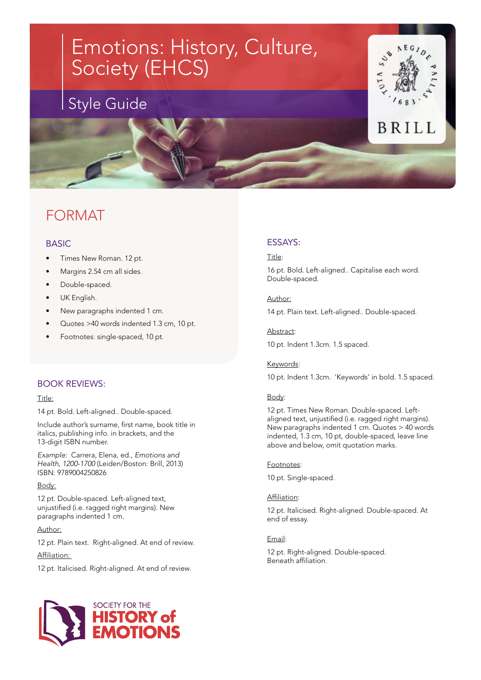

## FORMAT

## BASIC

- Times New Roman. 12 pt.
- Margins 2.54 cm all sides.
- Double-spaced.
- UK English.
- New paragraphs indented 1 cm.
- Quotes >40 words indented 1.3 cm, 10 pt.
- Footnotes: single-spaced, 10 pt.

### BOOK REVIEWS:

#### Title:

14 pt. Bold. Left-aligned.. Double-spaced.

Include author's surname, first name, book title in italics, publishing info. in brackets, and the 13-digit ISBN number.

*Example:* Carrera, Elena, ed., *Emotions and Health, 1200-1700* (Leiden/Boston: Brill, 2013) ISBN: 9789004250826

#### Body:

12 pt. Double-spaced. Left-aligned text, unjustified (i.e. ragged right margins). New paragraphs indented 1 cm.

## Author:

12 pt. Plain text. Right-aligned. At end of review.

Affiliation:

12 pt. Italicised. Right-aligned. At end of review.



## ESSAYS:

#### Title:

16 pt. Bold. Left-aligned.. Capitalise each word. Double-spaced.

#### Author:

14 pt. Plain text. Left-aligned.. Double-spaced.

10 pt. Indent 1.3cm. 1.5 spaced.

### Keywords:

Abstract:

10 pt. Indent 1.3cm. 'Keywords' in bold. 1.5 spaced.

### Body:

12 pt. Times New Roman. Double-spaced. Leftaligned text, unjustified (i.e. ragged right margins). New paragraphs indented 1 cm. Quotes > 40 words indented, 1.3 cm, 10 pt, double-spaced, leave line above and below, omit quotation marks.

#### Footnotes:

10 pt. Single-spaced.

#### Affiliation:

12 pt. Italicised. Right-aligned. Double-spaced. At end of essay.

#### Email:

12 pt. Right-aligned. Double-spaced. Beneath affiliation.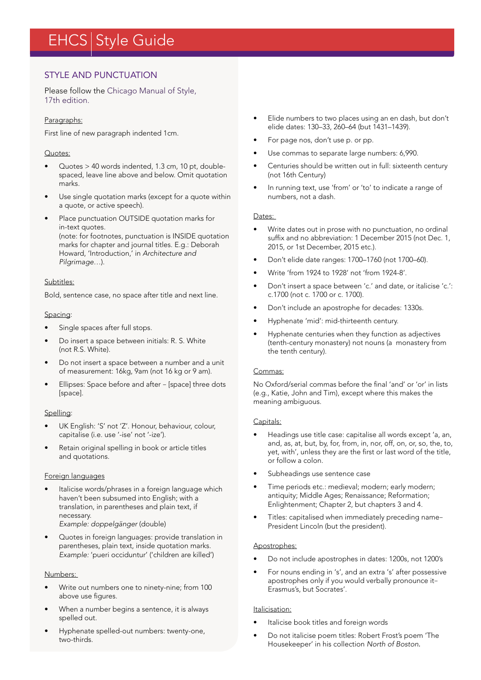# EHCS Style Guide

## STYLE AND PUNCTUATION

Please follow the [Chicago Manual of Style,](http://www.chicagomanualofstyle.org/tools_citationguide.html)  [17th edition](http://www.chicagomanualofstyle.org/tools_citationguide.html).

#### Paragraphs:

First line of new paragraph indented 1cm.

#### Quotes:

- Quotes > 40 words indented, 1.3 cm, 10 pt, doublespaced, leave line above and below. Omit quotation marks.
- Use single quotation marks (except for a quote within a quote, or active speech).
- Place punctuation OUTSIDE quotation marks for in-text quotes. (note: for footnotes, punctuation is INSIDE quotation marks for chapter and journal titles. E.g.: Deborah Howard, 'Introduction,' in *Architecture and Pilgrimage…*).

#### Subtitles:

Bold, sentence case, no space after title and next line.

#### Spacing:

- Single spaces after full stops.
- Do insert a space between initials: R. S. White (not R.S. White).
- Do not insert a space between a number and a unit of measurement: 16kg, 9am (not 16 kg or 9 am).
- Ellipses: Space before and after [space] three dots [space].

#### Spelling:

- UK English: 'S' not 'Z'. Honour, behaviour, colour, capitalise (i.e. use '-ise' not '-ize').
- Retain original spelling in book or article titles and quotations.

#### Foreign languages

- Italicise words/phrases in a foreign language which haven't been subsumed into English; with a translation, in parentheses and plain text, if necessary. *Example: doppelgänger* (double)
- Quotes in foreign languages: provide translation in parentheses, plain text, inside quotation marks. *Example:* 'pueri occiduntur' ('children are killed')

#### Numbers:

- Write out numbers one to ninety-nine; from 100 above use figures.
- When a number begins a sentence, it is always spelled out.
- Hyphenate spelled-out numbers: twenty-one, two-thirds.
- Elide numbers to two places using an en dash, but don't elide dates: 130–33, 260–64 (but 1431–1439).
- For page nos, don't use p. or pp.
- Use commas to separate large numbers: 6,990.
- Centuries should be written out in full: sixteenth century (not 16th Century)
- In running text, use 'from' or 'to' to indicate a range of numbers, not a dash.

#### Dates:

- Write dates out in prose with no punctuation, no ordinal suffix and no abbreviation: 1 December 2015 (not Dec. 1, 2015, or 1st December, 2015 etc.).
- Don't elide date ranges: 1700–1760 (not 1700–60).
- Write 'from 1924 to 1928' not 'from 1924-8'.
- Don't insert a space between 'c.' and date, or italicise 'c.': c.1700 (not c. 1700 or c. 1700).
- Don't include an apostrophe for decades: 1330s.
- Hyphenate 'mid': mid-thirteenth century.
- Hyphenate centuries when they function as adjectives (tenth-century monastery) not nouns (a monastery from the tenth century).

#### Commas:

No Oxford/serial commas before the final 'and' or 'or' in lists (e.g., Katie, John and Tim), except where this makes the meaning ambiguous.

#### Capitals:

- Headings use title case: capitalise all words except 'a, an, and, as, at, but, by, for, from, in, nor, off, on, or, so, the, to, yet, with', unless they are the first or last word of the title, or follow a colon.
- Subheadings use sentence case
- Time periods etc.: medieval; modern; early modern; antiquity; Middle Ages; Renaissance; Reformation; Enlightenment; Chapter 2, but chapters 3 and 4.
- Titles: capitalised when immediately preceding name– President Lincoln (but the president).

#### Apostrophes:

- Do not include apostrophes in dates: 1200s, not 1200's
- For nouns ending in 's', and an extra 's' after possessive apostrophes only if you would verbally pronounce it– Erasmus's, but Socrates'.

#### Italicisation:

- Italicise book titles and foreign words
- Do not italicise poem titles: Robert Frost's poem 'The Housekeeper' in his collection *North of Boston.*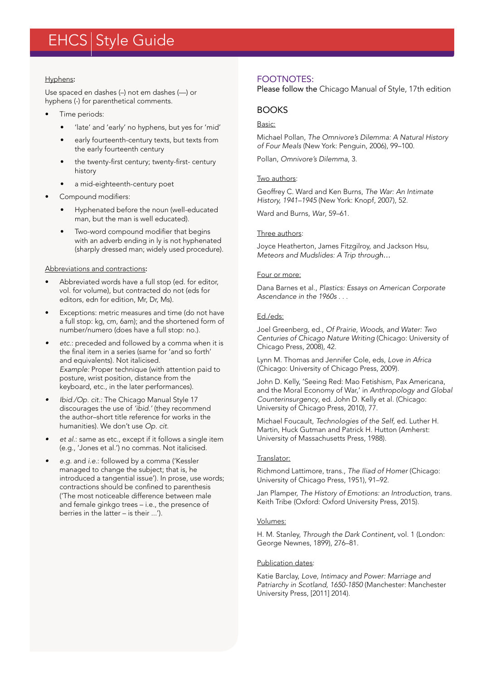## EHCS Style Guide

#### Hyphens:

Use spaced en dashes (–) not em dashes (—) or hyphens (-) for parenthetical comments.

- Time periods:
	- 'late' and 'early' no hyphens, but yes for 'mid'
	- early fourteenth-century texts, but texts from the early fourteenth century
	- the twenty-first century; twenty-first- century history
	- a mid-eighteenth-century poet
- Compound modifiers:
	- Hyphenated before the noun (well-educated man, but the man is well educated).
	- Two-word compound modifier that begins with an adverb ending in ly is not hyphenated (sharply dressed man; widely used procedure).

#### Abbreviations and contractions:

- Abbreviated words have a full stop (ed. for editor, vol. for volume), but contracted do not (eds for editors, edn for edition, Mr, Dr, Ms).
- Exceptions: metric measures and time (do not have a full stop: kg, cm, 6am); and the shortened form of number/numero (does have a full stop: no.).
- *• etc.*: preceded and followed by a comma when it is the final item in a series (same for 'and so forth' and equivalents). Not italicised. *Example:* Proper technique (with attention paid to posture, wrist position, distance from the keyboard, etc., in the later performances).
- *• Ibid./Op. cit.:* The Chicago Manual Style 17 discourages the use of *'ibid.'* (they recommend the author–short title reference for works in the humanities). We don't use *Op. cit.*
- *• et al.*: same as etc., except if it follows a single item (e.g*.*, 'Jones et al.') no commas. Not italicised.
- *• e.g.* and *i.e.*: followed by a comma ('Kessler managed to change the subject; that is, he introduced a tangential issue'). In prose, use words; contractions should be confined to parenthesis ('The most noticeable difference between male and female ginkgo trees – i.e., the presence of berries in the latter – is their ...').

## FOOTNOTES:

Please follow the [Chicago Manual of Style, 17th edition](http://www.chicagomanualofstyle.org/tools_citationguide.html)

## BOOKS

#### Basic:

Michael Pollan, *The Omnivore's Dilemma: A Natural History of Four Meals* (New York: Penguin, 2006), 99–100.

Pollan, *Omnivore's Dilemma*, 3.

#### Two authors:

Geoffrey C. Ward and Ken Burns, *The War: An Intimate History, 1941–1945* (New York: Knopf, 2007), 52.

Ward and Burns, *War*, 59–61.

#### Three authors:

Joyce Heatherton, James Fitzgilroy, and Jackson Hsu, *Meteors and Mudslides: A Trip through…*

#### Four or more:

Dana Barnes et al., *Plastics: Essays on American Corporate Ascendance in the 1960s* . . .

### Ed./eds:

Joel Greenberg, ed., *Of Prairie, Woods, and Water: Two Centuries of Chicago Nature Writing* (Chicago: University of Chicago Press, 2008), 42.

Lynn M. Thomas and Jennifer Cole, eds, *Love in Africa*  (Chicago: University of Chicago Press, 2009).

John D. Kelly, 'Seeing Red: Mao Fetishism, Pax Americana, and the Moral Economy of War,' in *Anthropology and Global Counterinsurgency*, ed. John D. Kelly et al. (Chicago: University of Chicago Press, 2010), 77.

Michael Foucault, *Technologies of the Self,* ed. Luther H. Martin, Huck Gutman and Patrick H. Hutton (Amherst: University of Massachusetts Press, 1988).

### Translator:

Richmond Lattimore, trans., *The Iliad of Homer* (Chicago: University of Chicago Press, 1951), 91–92.

Jan Plamper, *The History of Emotions: an Introduction*, trans. Keith Tribe (Oxford: Oxford University Press, 2015).

#### Volumes:

H. M. Stanley, *Through the Dark Continent,* vol. 1 (London: George Newnes, 1899), 276–81.

### Publication dates:

Katie Barclay, *Love, Intimacy and Power: Marriage and Patriarchy in Scotland, 1650-1850* (Manchester: Manchester University Press, [2011] 2014).